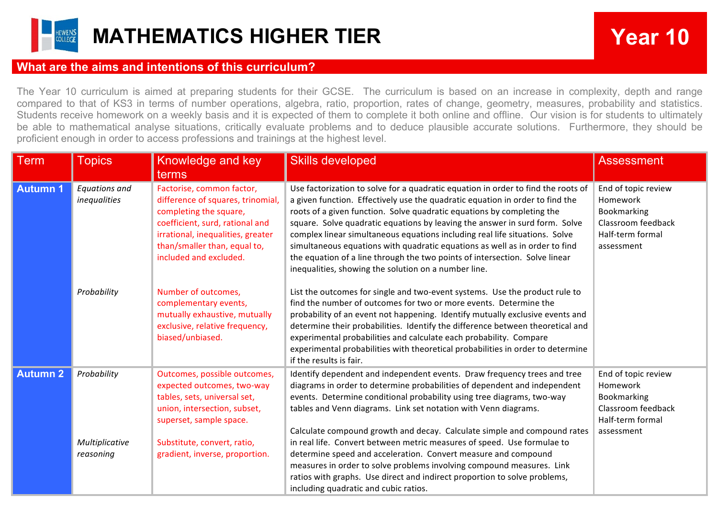

## **MATHEMATICS HIGHER TIER Year 10**

## **What are the aims and intentions of this curriculum?**

The Year 10 curriculum is aimed at preparing students for their GCSE. The curriculum is based on an increase in complexity, depth and range compared to that of KS3 in terms of number operations, algebra, ratio, proportion, rates of change, geometry, measures, probability and statistics. Students receive homework on a weekly basis and it is expected of them to complete it both online and offline. Our vision is for students to ultimately be able to mathematical analyse situations, critically evaluate problems and to deduce plausible accurate solutions. Furthermore, they should be proficient enough in order to access professions and trainings at the highest level.

| <b>Term</b>     | <b>Topics</b>                        | Knowledge and key<br>terms                                                                                                                                                                                                 | <b>Skills developed</b>                                                                                                                                                                                                                                                                                                                                                                                                                                                                                                                                                                                                          | <b>Assessment</b>                                                                                      |
|-----------------|--------------------------------------|----------------------------------------------------------------------------------------------------------------------------------------------------------------------------------------------------------------------------|----------------------------------------------------------------------------------------------------------------------------------------------------------------------------------------------------------------------------------------------------------------------------------------------------------------------------------------------------------------------------------------------------------------------------------------------------------------------------------------------------------------------------------------------------------------------------------------------------------------------------------|--------------------------------------------------------------------------------------------------------|
| <b>Autumn 1</b> | <b>Equations and</b><br>inequalities | Factorise, common factor,<br>difference of squares, trinomial,<br>completing the square,<br>coefficient, surd, rational and<br>irrational, inequalities, greater<br>than/smaller than, equal to,<br>included and excluded. | Use factorization to solve for a quadratic equation in order to find the roots of<br>a given function. Effectively use the quadratic equation in order to find the<br>roots of a given function. Solve quadratic equations by completing the<br>square. Solve quadratic equations by leaving the answer in surd form. Solve<br>complex linear simultaneous equations including real life situations. Solve<br>simultaneous equations with quadratic equations as well as in order to find<br>the equation of a line through the two points of intersection. Solve linear<br>inequalities, showing the solution on a number line. | End of topic review<br>Homework<br>Bookmarking<br>Classroom feedback<br>Half-term formal<br>assessment |
|                 | Probability                          | Number of outcomes,<br>complementary events,<br>mutually exhaustive, mutually<br>exclusive, relative frequency,<br>biased/unbiased.                                                                                        | List the outcomes for single and two-event systems. Use the product rule to<br>find the number of outcomes for two or more events. Determine the<br>probability of an event not happening. Identify mutually exclusive events and<br>determine their probabilities. Identify the difference between theoretical and<br>experimental probabilities and calculate each probability. Compare<br>experimental probabilities with theoretical probabilities in order to determine<br>if the results is fair.                                                                                                                          |                                                                                                        |
| <b>Autumn 2</b> | Probability                          | Outcomes, possible outcomes,<br>expected outcomes, two-way<br>tables, sets, universal set,<br>union, intersection, subset,<br>superset, sample space.                                                                      | Identify dependent and independent events. Draw frequency trees and tree<br>diagrams in order to determine probabilities of dependent and independent<br>events. Determine conditional probability using tree diagrams, two-way<br>tables and Venn diagrams. Link set notation with Venn diagrams.<br>Calculate compound growth and decay. Calculate simple and compound rates                                                                                                                                                                                                                                                   | End of topic review<br>Homework<br>Bookmarking<br>Classroom feedback<br>Half-term formal<br>assessment |
|                 | Multiplicative<br>reasoning          | Substitute, convert, ratio,<br>gradient, inverse, proportion.                                                                                                                                                              | in real life. Convert between metric measures of speed. Use formulae to<br>determine speed and acceleration. Convert measure and compound<br>measures in order to solve problems involving compound measures. Link<br>ratios with graphs. Use direct and indirect proportion to solve problems,<br>including quadratic and cubic ratios.                                                                                                                                                                                                                                                                                         |                                                                                                        |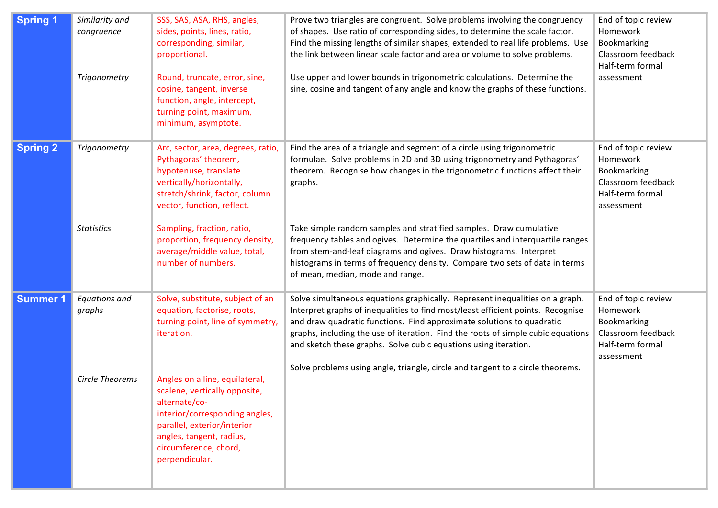| <b>Spring 1</b> | Similarity and<br>congruence<br>Trigonometry | SSS, SAS, ASA, RHS, angles,<br>sides, points, lines, ratio,<br>corresponding, similar,<br>proportional.<br>Round, truncate, error, sine,<br>cosine, tangent, inverse<br>function, angle, intercept,<br>turning point, maximum,<br>minimum, asymptote. | Prove two triangles are congruent. Solve problems involving the congruency<br>of shapes. Use ratio of corresponding sides, to determine the scale factor.<br>Find the missing lengths of similar shapes, extended to real life problems. Use<br>the link between linear scale factor and area or volume to solve problems.<br>Use upper and lower bounds in trigonometric calculations. Determine the<br>sine, cosine and tangent of any angle and know the graphs of these functions. | End of topic review<br>Homework<br>Bookmarking<br>Classroom feedback<br>Half-term formal<br>assessment |
|-----------------|----------------------------------------------|-------------------------------------------------------------------------------------------------------------------------------------------------------------------------------------------------------------------------------------------------------|----------------------------------------------------------------------------------------------------------------------------------------------------------------------------------------------------------------------------------------------------------------------------------------------------------------------------------------------------------------------------------------------------------------------------------------------------------------------------------------|--------------------------------------------------------------------------------------------------------|
| <b>Spring 2</b> | Trigonometry<br><b>Statistics</b>            | Arc, sector, area, degrees, ratio,<br>Pythagoras' theorem,<br>hypotenuse, translate<br>vertically/horizontally,<br>stretch/shrink, factor, column<br>vector, function, reflect.<br>Sampling, fraction, ratio,<br>proportion, frequency density,       | Find the area of a triangle and segment of a circle using trigonometric<br>formulae. Solve problems in 2D and 3D using trigonometry and Pythagoras'<br>theorem. Recognise how changes in the trigonometric functions affect their<br>graphs.<br>Take simple random samples and stratified samples. Draw cumulative<br>frequency tables and ogives. Determine the quartiles and interquartile ranges                                                                                    | End of topic review<br>Homework<br>Bookmarking<br>Classroom feedback<br>Half-term formal<br>assessment |
|                 |                                              | average/middle value, total,<br>number of numbers.                                                                                                                                                                                                    | from stem-and-leaf diagrams and ogives. Draw histograms. Interpret<br>histograms in terms of frequency density. Compare two sets of data in terms<br>of mean, median, mode and range.                                                                                                                                                                                                                                                                                                  |                                                                                                        |
| <b>Summer 1</b> | <b>Equations and</b><br>graphs               | Solve, substitute, subject of an<br>equation, factorise, roots,<br>turning point, line of symmetry,<br>iteration.                                                                                                                                     | Solve simultaneous equations graphically. Represent inequalities on a graph.<br>Interpret graphs of inequalities to find most/least efficient points. Recognise<br>and draw quadratic functions. Find approximate solutions to quadratic<br>graphs, including the use of iteration. Find the roots of simple cubic equations<br>and sketch these graphs. Solve cubic equations using iteration.<br>Solve problems using angle, triangle, circle and tangent to a circle theorems.      | End of topic review<br>Homework<br>Bookmarking<br>Classroom feedback<br>Half-term formal<br>assessment |
|                 | Circle Theorems                              | Angles on a line, equilateral,<br>scalene, vertically opposite,<br>alternate/co-<br>interior/corresponding angles,<br>parallel, exterior/interior<br>angles, tangent, radius,<br>circumference, chord,<br>perpendicular.                              |                                                                                                                                                                                                                                                                                                                                                                                                                                                                                        |                                                                                                        |